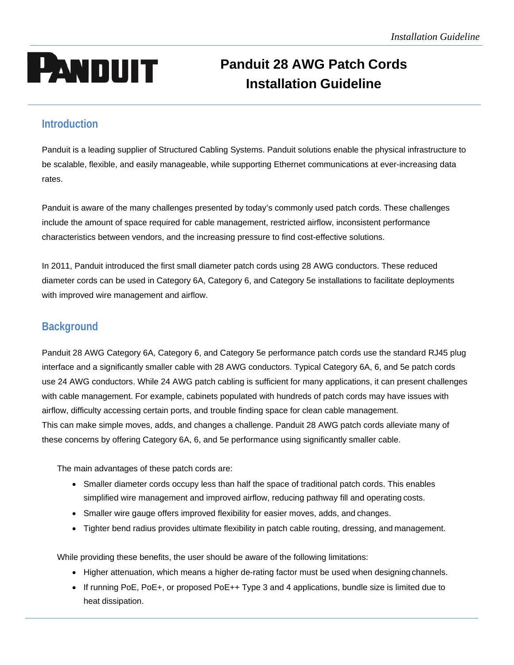# **PANDUIT** Panduit 28 AWG Patch Cords **Installation Guideline**

# **Introduction**

Panduit is a leading supplier of Structured Cabling Systems. Panduit solutions enable the physical infrastructure to be scalable, flexible, and easily manageable, while supporting Ethernet communications at ever-increasing data rates.

Panduit is aware of the many challenges presented by today's commonly used patch cords. These challenges include the amount of space required for cable management, restricted airflow, inconsistent performance characteristics between vendors, and the increasing pressure to find cost-effective solutions.

In 2011, Panduit introduced the first small diameter patch cords using 28 AWG conductors. These reduced diameter cords can be used in Category 6A, Category 6, and Category 5e installations to facilitate deployments with improved wire management and airflow.

# **Background**

Panduit 28 AWG Category 6A, Category 6, and Category 5e performance patch cords use the standard RJ45 plug interface and a significantly smaller cable with 28 AWG conductors. Typical Category 6A, 6, and 5e patch cords use 24 AWG conductors. While 24 AWG patch cabling is sufficient for many applications, it can present challenges with cable management. For example, cabinets populated with hundreds of patch cords may have issues with airflow, difficulty accessing certain ports, and trouble finding space for clean cable management. This can make simple moves, adds, and changes a challenge. Panduit 28 AWG patch cords alleviate many of these concerns by offering Category 6A, 6, and 5e performance using significantly smaller cable.

The main advantages of these patch cords are:

- Smaller diameter cords occupy less than half the space of traditional patch cords. This enables simplified wire management and improved airflow, reducing pathway fill and operating costs.
- Smaller wire gauge offers improved flexibility for easier moves, adds, and changes.
- Tighter bend radius provides ultimate flexibility in patch cable routing, dressing, and management.

While providing these benefits, the user should be aware of the following limitations:

- Higher attenuation, which means a higher de-rating factor must be used when designing channels.
- If running PoE, PoE+, or proposed PoE++ Type 3 and 4 applications, bundle size is limited due to heat dissipation.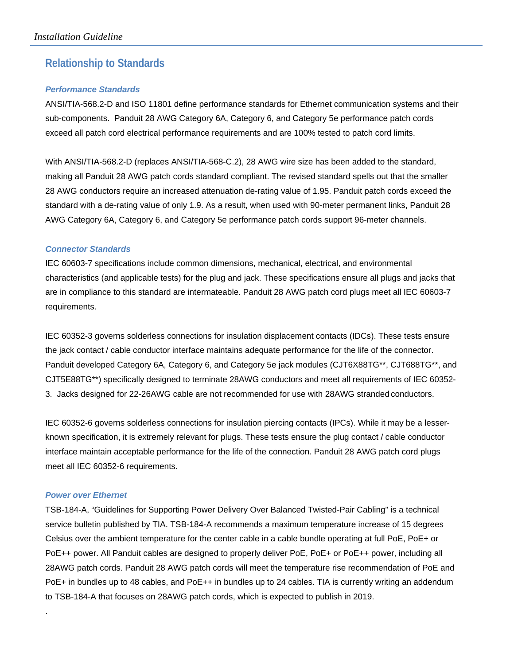## **Relationship to Standards**

## *Performance Standards*

ANSI/TIA-568.2-D and ISO 11801 define performance standards for Ethernet communication systems and their sub-components. Panduit 28 AWG Category 6A, Category 6, and Category 5e performance patch cords exceed all patch cord electrical performance requirements and are 100% tested to patch cord limits.

With ANSI/TIA-568.2-D (replaces ANSI/TIA-568-C.2), 28 AWG wire size has been added to the standard, making all Panduit 28 AWG patch cords standard compliant. The revised standard spells out that the smaller 28 AWG conductors require an increased attenuation de-rating value of 1.95. Panduit patch cords exceed the standard with a de-rating value of only 1.9. As a result, when used with 90-meter permanent links, Panduit 28 AWG Category 6A, Category 6, and Category 5e performance patch cords support 96-meter channels.

## *Connector Standards*

IEC 60603-7 specifications include common dimensions, mechanical, electrical, and environmental characteristics (and applicable tests) for the plug and jack. These specifications ensure all plugs and jacks that are in compliance to this standard are intermateable. Panduit 28 AWG patch cord plugs meet all IEC 60603-7 requirements.

IEC 60352-3 governs solderless connections for insulation displacement contacts (IDCs). These tests ensure the jack contact / cable conductor interface maintains adequate performance for the life of the connector. Panduit developed Category 6A, Category 6, and Category 5e jack modules (CJT6X88TG\*\*, CJT688TG\*\*, and CJT5E88TG\*\*) specifically designed to terminate 28AWG conductors and meet all requirements of IEC 60352- 3. Jacks designed for 22-26AWG cable are not recommended for use with 28AWG stranded conductors.

IEC 60352-6 governs solderless connections for insulation piercing contacts (IPCs). While it may be a lesserknown specification, it is extremely relevant for plugs. These tests ensure the plug contact / cable conductor interface maintain acceptable performance for the life of the connection. Panduit 28 AWG patch cord plugs meet all IEC 60352-6 requirements.

## *Power over Ethernet*

.

TSB-184-A, "Guidelines for Supporting Power Delivery Over Balanced Twisted-Pair Cabling" is a technical service bulletin published by TIA. TSB-184-A recommends a maximum temperature increase of 15 degrees Celsius over the ambient temperature for the center cable in a cable bundle operating at full PoE, PoE+ or PoE++ power. All Panduit cables are designed to properly deliver PoE, PoE+ or PoE++ power, including all 28AWG patch cords. Panduit 28 AWG patch cords will meet the temperature rise recommendation of PoE and PoE+ in bundles up to 48 cables, and PoE++ in bundles up to 24 cables. TIA is currently writing an addendum to TSB-184-A that focuses on 28AWG patch cords, which is expected to publish in 2019.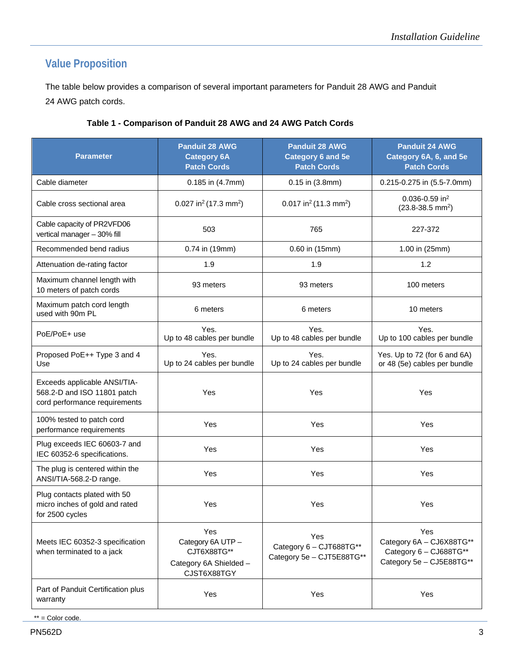# **Value Proposition**

The table below provides a comparison of several important parameters for Panduit 28 AWG and Panduit 24 AWG patch cords.

| <b>Parameter</b>                                                                             | <b>Panduit 28 AWG</b><br><b>Category 6A</b><br><b>Patch Cords</b>                | <b>Panduit 28 AWG</b><br><b>Category 6 and 5e</b><br><b>Patch Cords</b>                                                                              | <b>Panduit 24 AWG</b><br>Category 6A, 6, and 5e<br><b>Patch Cords</b> |  |
|----------------------------------------------------------------------------------------------|----------------------------------------------------------------------------------|------------------------------------------------------------------------------------------------------------------------------------------------------|-----------------------------------------------------------------------|--|
| Cable diameter                                                                               | 0.185 in (4.7mm)                                                                 | $0.15$ in $(3.8$ mm $)$                                                                                                                              | 0.215-0.275 in (5.5-7.0mm)                                            |  |
| Cable cross sectional area                                                                   | 0.027 in <sup>2</sup> (17.3 mm <sup>2</sup> )                                    | 0.017 in <sup>2</sup> (11.3 mm <sup>2</sup> )                                                                                                        | 0.036-0.59 in <sup>2</sup><br>$(23.8-38.5)$ mm <sup>2</sup> )         |  |
| Cable capacity of PR2VFD06<br>vertical manager - 30% fill                                    | 503                                                                              | 765                                                                                                                                                  | 227-372                                                               |  |
| Recommended bend radius                                                                      | 0.74 in (19mm)                                                                   | 0.60 in (15mm)                                                                                                                                       | 1.00 in (25mm)                                                        |  |
| Attenuation de-rating factor                                                                 | 1.9                                                                              | 1.9                                                                                                                                                  | 1.2                                                                   |  |
| Maximum channel length with<br>10 meters of patch cords                                      | 93 meters                                                                        | 93 meters                                                                                                                                            | 100 meters                                                            |  |
| Maximum patch cord length<br>used with 90m PL                                                | 6 meters                                                                         | 6 meters                                                                                                                                             | 10 meters                                                             |  |
| PoE/PoE+ use                                                                                 | Yes.<br>Up to 48 cables per bundle                                               | Yes.<br>Up to 48 cables per bundle                                                                                                                   | Yes.<br>Up to 100 cables per bundle                                   |  |
| Proposed PoE++ Type 3 and 4<br>Use                                                           | Yes.<br>Up to 24 cables per bundle                                               | Yes.<br>Up to 24 cables per bundle                                                                                                                   | Yes. Up to 72 (for 6 and 6A)<br>or 48 (5e) cables per bundle          |  |
| Exceeds applicable ANSI/TIA-<br>568.2-D and ISO 11801 patch<br>cord performance requirements | Yes                                                                              | Yes                                                                                                                                                  | Yes                                                                   |  |
| 100% tested to patch cord<br>performance requirements                                        | Yes                                                                              | Yes                                                                                                                                                  | Yes                                                                   |  |
| Plug exceeds IEC 60603-7 and<br>IEC 60352-6 specifications.                                  | Yes                                                                              | Yes                                                                                                                                                  | Yes                                                                   |  |
| The plug is centered within the<br>ANSI/TIA-568.2-D range.                                   | Yes                                                                              | Yes                                                                                                                                                  | Yes                                                                   |  |
| Plug contacts plated with 50<br>micro inches of gold and rated<br>for 2500 cycles            | Yes                                                                              | Yes                                                                                                                                                  | Yes                                                                   |  |
| Meets IEC 60352-3 specification<br>when terminated to a jack                                 | Yes<br>Category 6A UTP -<br>CJT6X88TG**<br>Category 6A Shielded -<br>CJST6X88TGY | Yes<br>Yes<br>Category 6A - CJ6X88TG**<br>Category 6 - CJT688TG**<br>Category 6 - CJ688TG**<br>Category 5e - CJT5E88TG**<br>Category 5e - CJ5E88TG** |                                                                       |  |
| Part of Panduit Certification plus<br>warranty                                               | Yes                                                                              | Yes                                                                                                                                                  | Yes                                                                   |  |

## **Table 1 - Comparison of Panduit 28 AWG and 24 AWG Patch Cords**

 $*** =$  Color code.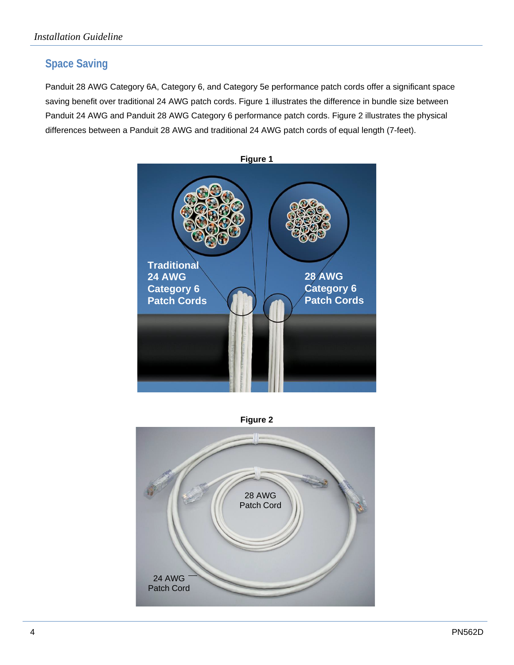# **Space Saving**

Panduit 28 AWG Category 6A, Category 6, and Category 5e performance patch cords offer a significant space saving benefit over traditional 24 AWG patch cords. Figure 1 illustrates the difference in bundle size between Panduit 24 AWG and Panduit 28 AWG Category 6 performance patch cords. Figure 2 illustrates the physical differences between a Panduit 28 AWG and traditional 24 AWG patch cords of equal length (7-feet).





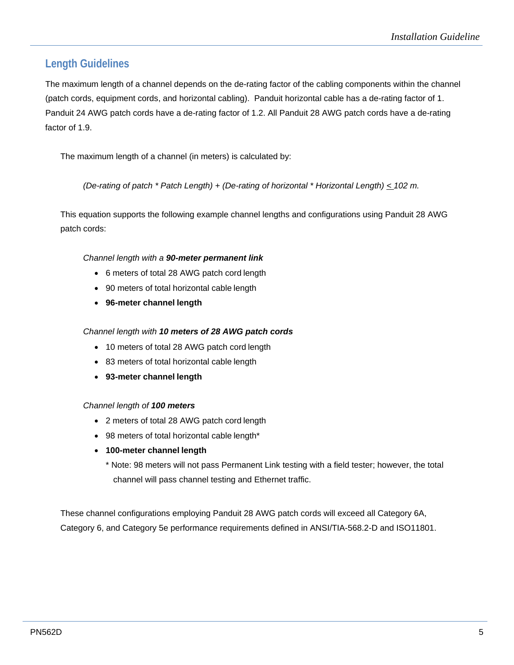# **Length Guidelines**

The maximum length of a channel depends on the de-rating factor of the cabling components within the channel (patch cords, equipment cords, and horizontal cabling). Panduit horizontal cable has a de-rating factor of 1. Panduit 24 AWG patch cords have a de-rating factor of 1.2. All Panduit 28 AWG patch cords have a de-rating factor of 1.9.

The maximum length of a channel (in meters) is calculated by:

*(De-rating of patch \* Patch Length) + (De-rating of horizontal \* Horizontal Length) < 102 m.*

This equation supports the following example channel lengths and configurations using Panduit 28 AWG patch cords:

## *Channel length with a 90-meter permanent link*

- 6 meters of total 28 AWG patch cord length
- 90 meters of total horizontal cable length
- **96-meter channel length**

## *Channel length with 10 meters of 28 AWG patch cords*

- 10 meters of total 28 AWG patch cord length
- 83 meters of total horizontal cable length
- **93-meter channel length**

## *Channel length of 100 meters*

- 2 meters of total 28 AWG patch cord length
- 98 meters of total horizontal cable length\*
- **100-meter channel length**

\* Note: 98 meters will not pass Permanent Link testing with a field tester; however, the total channel will pass channel testing and Ethernet traffic.

These channel configurations employing Panduit 28 AWG patch cords will exceed all Category 6A, Category 6, and Category 5e performance requirements defined in ANSI/TIA-568.2-D and ISO11801.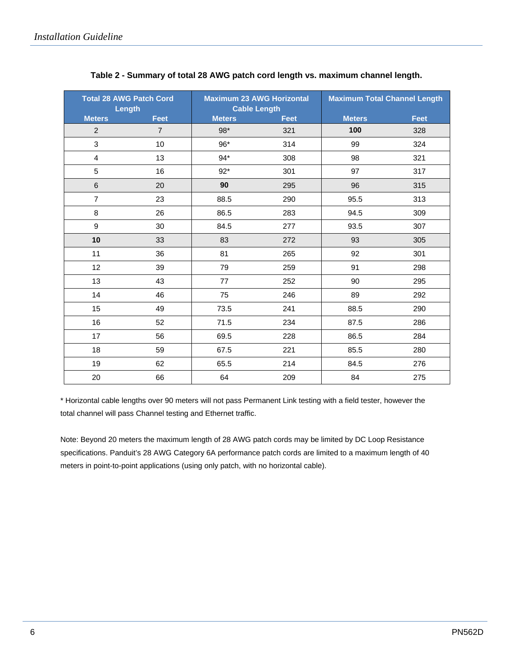| <b>Total 28 AWG Patch Cord</b><br><b>Length</b> |                | <b>Maximum 23 AWG Horizontal</b><br><b>Cable Length</b> |             | <b>Maximum Total Channel Length</b> |             |
|-------------------------------------------------|----------------|---------------------------------------------------------|-------------|-------------------------------------|-------------|
| <b>Meters</b>                                   | <b>Feet</b>    | <b>Meters</b>                                           | <b>Feet</b> | <b>Meters</b>                       | <b>Feet</b> |
| $\overline{c}$                                  | $\overline{7}$ | 98*                                                     | 321         | 100                                 | 328         |
| 3                                               | 10             | 96*                                                     | 314         | 99                                  | 324         |
| 4                                               | 13             | $94*$                                                   | 308         | 98                                  | 321         |
| 5                                               | 16             | $92*$                                                   | 301         | 97                                  | 317         |
| $\,6$                                           | 20             | 90                                                      | 295         | 96                                  | 315         |
| $\overline{7}$                                  | 23             | 88.5                                                    | 290         | 95.5                                | 313         |
| $\bf8$                                          | 26             | 86.5                                                    | 283         | 94.5                                | 309         |
| $\boldsymbol{9}$                                | 30             | 84.5                                                    | 277         | 93.5                                | 307         |
| 10                                              | 33             | 83                                                      | 272         | 93                                  | 305         |
| 11                                              | 36             | 81                                                      | 265         | 92                                  | 301         |
| 12                                              | 39             | 79                                                      | 259         | 91                                  | 298         |
| 13                                              | 43             | 77                                                      | 252         | 90                                  | 295         |
| 14                                              | 46             | 75                                                      | 246         | 89                                  | 292         |
| 15                                              | 49             | 73.5                                                    | 241         | 88.5                                | 290         |
| 16                                              | 52             | 71.5                                                    | 234         | 87.5                                | 286         |
| 17                                              | 56             | 69.5                                                    | 228         | 86.5                                | 284         |
| 18                                              | 59             | 67.5                                                    | 221         | 85.5                                | 280         |
| 19                                              | 62             | 65.5                                                    | 214         | 84.5                                | 276         |
| 20                                              | 66             | 64                                                      | 209         | 84                                  | 275         |

## **Table 2 - Summary of total 28 AWG patch cord length vs. maximum channel length.**

\* Horizontal cable lengths over 90 meters will not pass Permanent Link testing with a field tester, however the total channel will pass Channel testing and Ethernet traffic.

Note: Beyond 20 meters the maximum length of 28 AWG patch cords may be limited by DC Loop Resistance specifications. Panduit's 28 AWG Category 6A performance patch cords are limited to a maximum length of 40 meters in point-to-point applications (using only patch, with no horizontal cable).